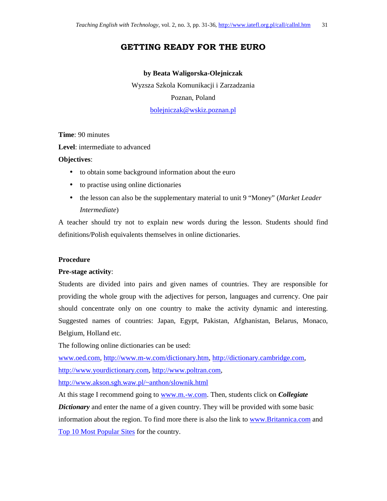## **GETTING READY FOR THE EURO**

### **by Beata Waligorska-Olejniczak**

Wyzsza Szkola Komunikacji i Zarzadzania Poznan, Poland bolejniczak@wskiz.poznan.pl

**Time**: 90 minutes

**Level**: intermediate to advanced

### **Objectives**:

- to obtain some background information about the euro
- to practise using online dictionaries
- the lesson can also be the supplementary material to unit 9 "Money" (*Market Leader Intermediate*)

A teacher should try not to explain new words during the lesson. Students should find definitions/Polish equivalents themselves in online dictionaries.

### **Procedure**

### **Pre-stage activity**:

Students are divided into pairs and given names of countries. They are responsible for providing the whole group with the adjectives for person, languages and currency. One pair should concentrate only on one country to make the activity dynamic and interesting. Suggested names of countries: Japan, Egypt, Pakistan, Afghanistan, Belarus, Monaco, Belgium, Holland etc.

The following online dictionaries can be used:

www.oed.com, http://www.m-w.com/dictionary.htm, http://dictionary.cambridge.com, http://www.yourdictionary.com, http://www.poltran.com,

http://www.akson.sgh.waw.pl/~anthon/slownik.html

At this stage I recommend going to www.m.-w.com. Then, students click on *Collegiate Dictionary* and enter the name of a given country. They will be provided with some basic information about the region. To find more there is also the link to www.Britannica.com and Top 10 Most Popular Sites for the country.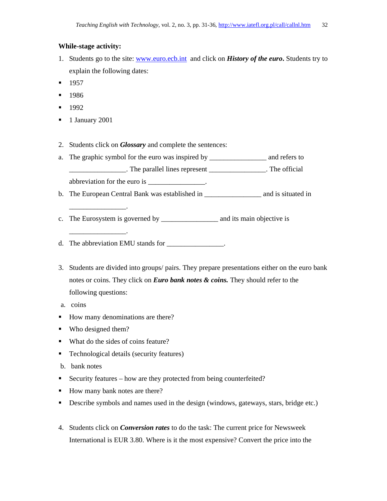### **While-stage activity:**

- 1. Students go to the site: www.euro.ecb.intand click on *History of the euro***.** Students try to explain the following dates:
- $-1957$
- 1986
- $-1992$
- <sup>1</sup> January 2001
- 2. Students click on *Glossary* and complete the sentences:
- a. The graphic symbol for the euro was inspired by \_\_\_\_\_\_\_\_\_\_\_\_\_\_\_\_ and refers to \_\_\_\_\_\_\_\_\_\_\_\_\_\_\_\_. The parallel lines represent \_\_\_\_\_\_\_\_\_\_\_\_\_\_\_\_. The official abbreviation for the euro is \_\_\_\_\_\_\_\_\_\_\_\_\_\_\_.
- b. The European Central Bank was established in \_\_\_\_\_\_\_\_\_\_\_\_\_\_\_\_ and is situated in
- c. The Eurosystem is governed by \_\_\_\_\_\_\_\_\_\_\_\_\_\_\_\_ and its main objective is

d. The abbreviation EMU stands for \_\_\_\_\_\_\_\_\_\_\_\_\_\_\_.

- 3. Students are divided into groups/ pairs. They prepare presentations either on the euro bank notes or coins. They click on *Euro bank notes & coins.* They should refer to the following questions:
- a. coins
- How many denominations are there?
- Who designed them?

\_\_\_\_\_\_\_\_\_\_\_\_\_\_\_\_.

\_\_\_\_\_\_\_\_\_\_\_\_\_\_\_\_.

- What do the sides of coins feature?
- Technological details (security features)
- b. bank notes
- Security features how are they protected from being counterfeited?
- How many bank notes are there?
- Describe symbols and names used in the design (windows, gateways, stars, bridge etc.)
- 4. Students click on *Conversion rates* to do the task: The current price for Newsweek International is EUR 3.80. Where is it the most expensive? Convert the price into the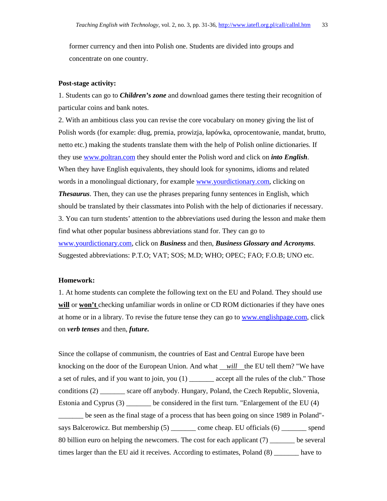former currency and then into Polish one. Students are divided into groups and concentrate on one country.

### **Post-stage activity:**

1. Students can go to *Children's zone* and download games there testing their recognition of particular coins and bank notes.

2. With an ambitious class you can revise the core vocabulary on money giving the list of Polish words (for example: dług, premia, prowizja, łapówka, oprocentowanie, mandat, brutto, netto etc.) making the students translate them with the help of Polish online dictionaries. If they use www.poltran.com they should enter the Polish word and click on *into English*. When they have English equivalents, they should look for synonims, idioms and related words in a monolingual dictionary, for example www.yourdictionary.com, clicking on *Thesaurus*. Then, they can use the phrases preparing funny sentences in English, which should be translated by their classmates into Polish with the help of dictionaries if necessary. 3. You can turn students' attention to the abbreviations used during the lesson and make them find what other popular business abbreviations stand for. They can go to www.yourdictionary.com, click on *Business* and then, *Business Glossary and Acronyms*. Suggested abbreviations: P.T.O; VAT; SOS; M.D; WHO; OPEC; FAO; F.O.B; UNO etc.

#### **Homework:**

1. At home students can complete the following text on the EU and Poland. They should use **will** or **won't** checking unfamiliar words in online or CD ROM dictionaries if they have ones at home or in a library. To revise the future tense they can go to www.englishpage.com, click on *verb tenses* and then, *future.*

Since the collapse of communism, the countries of East and Central Europe have been knocking on the door of the European Union. And what *will* the EU tell them? "We have a set of rules, and if you want to join, you (1) \_\_\_\_\_\_\_ accept all the rules of the club." Those conditions (2) \_\_\_\_\_\_\_ scare off anybody. Hungary, Poland, the Czech Republic, Slovenia, Estonia and Cyprus (3) \_\_\_\_\_\_\_ be considered in the first turn. "Enlargement of the EU (4)

\_\_\_\_\_\_\_ be seen as the final stage of a process that has been going on since 1989 in Poland" says Balcerowicz. But membership (5) \_\_\_\_\_\_\_ come cheap. EU officials (6) \_\_\_\_\_\_\_ spend 80 billion euro on helping the newcomers. The cost for each applicant (7) \_\_\_\_\_\_\_ be several times larger than the EU aid it receives. According to estimates, Poland (8) \_\_\_\_\_\_\_ have to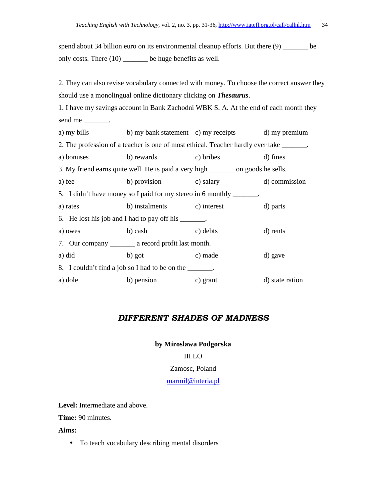spend about 34 billion euro on its environmental cleanup efforts. But there (9) be only costs. There (10) \_\_\_\_\_\_\_ be huge benefits as well.

2. They can also revise vocabulary connected with money. To choose the correct answer they should use a monolingual online dictionary clicking on *Thesaurus*.

1. I have my savings account in Bank Zachodni WBK S. A. At the end of each month they send me \_\_\_\_\_\_\_\_\_.

a) my bills b) my bank statement c) my receipts d) my premium 2. The profession of a teacher is one of most ethical. Teacher hardly ever take \_\_\_\_\_\_\_. a) bonuses b) rewards c) bribes d) fines 3. My friend earns quite well. He is paid a very high \_\_\_\_\_\_\_ on goods he sells. a) fee b) provision c) salary d) commission 5. I didn't have money so I paid for my stereo in 6 monthly \_\_\_\_\_\_\_. a) rates b) instalments c) interest d) parts 6. He lost his job and I had to pay off his \_\_\_\_\_\_\_. a) owes b) cash c) debts d) rents 7. Our company \_\_\_\_\_\_\_ a record profit last month. a) did b) got c) made d) gave 8. I couldn't find a job so I had to be on the \_\_\_\_\_\_\_. a) dole b) pension c) grant d) state ration

## *DIFFERENT SHADES OF MADNESS*

# **by Miroslawa Podgorska**

## III LO

### Zamosc, Poland

### marmil@interia.pl

**Level:** Intermediate and above.

**Time:** 90 minutes.

**Aims:** 

• To teach vocabulary describing mental disorders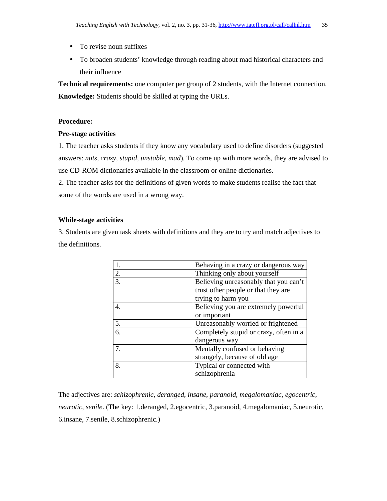- To revise noun suffixes
- To broaden students' knowledge through reading about mad historical characters and their influence

**Technical requirements:** one computer per group of 2 students, with the Internet connection. **Knowledge:** Students should be skilled at typing the URLs.

### **Procedure:**

### **Pre-stage activities**

1. The teacher asks students if they know any vocabulary used to define disorders (suggested answers: *nuts, crazy, stupid, unstable, mad*). To come up with more words, they are advised to use CD-ROM dictionaries available in the classroom or online dictionaries.

2. The teacher asks for the definitions of given words to make students realise the fact that some of the words are used in a wrong way.

### **While-stage activities**

3. Students are given task sheets with definitions and they are to try and match adjectives to the definitions.

|                  | Behaving in a crazy or dangerous way   |
|------------------|----------------------------------------|
| 2.               | Thinking only about yourself           |
| 3.               | Believing unreasonably that you can't  |
|                  | trust other people or that they are    |
|                  | trying to harm you                     |
| $\overline{4}$ . | Believing you are extremely powerful   |
|                  | or important                           |
| 5.               | Unreasonably worried or frightened     |
| 6.               | Completely stupid or crazy, often in a |
|                  | dangerous way                          |
|                  | Mentally confused or behaving          |
|                  | strangely, because of old age          |
| 8.               | Typical or connected with              |
|                  | schizophrenia                          |

The adjectives are: *schizophrenic*, *deranged*, *insane*, *paranoid*, *megalomaniac*, *egocentric*, *neurotic*, *senile*. (The key: 1.deranged, 2.egocentric, 3.paranoid, 4.megalomaniac, 5.neurotic, 6.insane, 7.senile, 8.schizophrenic.)